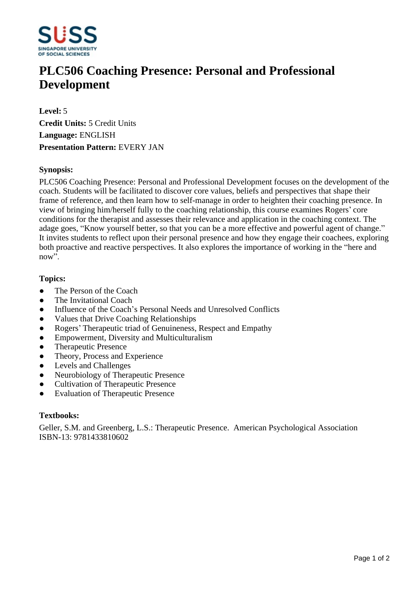

# **PLC506 Coaching Presence: Personal and Professional Development**

**Level:** 5 **Credit Units:** 5 Credit Units **Language:** ENGLISH **Presentation Pattern:** EVERY JAN

## **Synopsis:**

PLC506 Coaching Presence: Personal and Professional Development focuses on the development of the coach. Students will be facilitated to discover core values, beliefs and perspectives that shape their frame of reference, and then learn how to self-manage in order to heighten their coaching presence. In view of bringing him/herself fully to the coaching relationship, this course examines Rogers' core conditions for the therapist and assesses their relevance and application in the coaching context. The adage goes, "Know yourself better, so that you can be a more effective and powerful agent of change." It invites students to reflect upon their personal presence and how they engage their coachees, exploring both proactive and reactive perspectives. It also explores the importance of working in the "here and now".

## **Topics:**

- The Person of the Coach
- The Invitational Coach
- Influence of the Coach's Personal Needs and Unresolved Conflicts
- Values that Drive Coaching Relationships
- Rogers' Therapeutic triad of Genuineness, Respect and Empathy
- Empowerment, Diversity and Multiculturalism
- ƔTherapeutic Presence
- Theory, Process and Experience
- Levels and Challenges
- Neurobiology of Therapeutic Presence
- ƔCultivation of Therapeutic Presence
- Evaluation of Therapeutic Presence

#### **Textbooks:**

Geller, S.M. and Greenberg, L.S.: Therapeutic Presence. American Psychological Association ISBN-13: 9781433810602